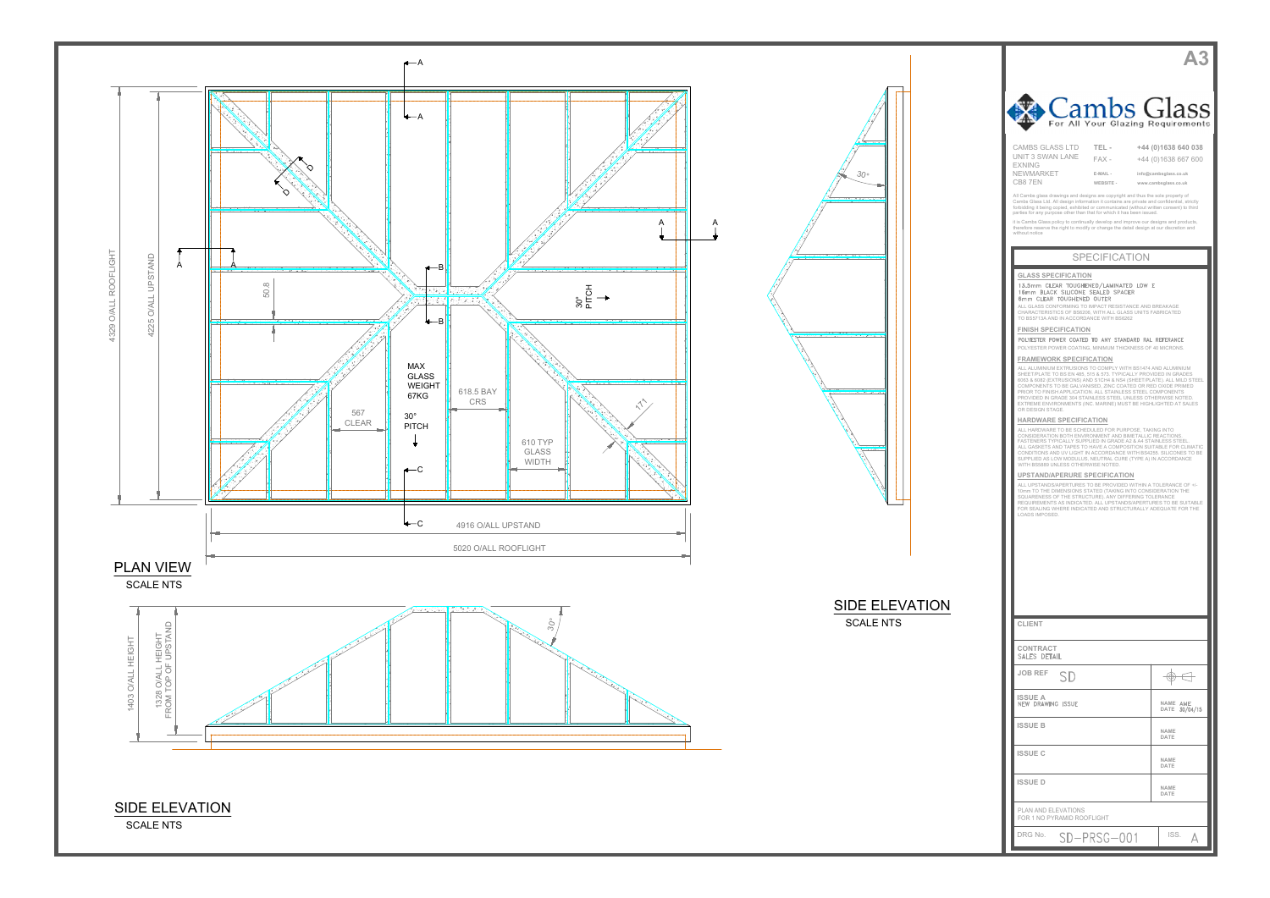



| Cambs Glass<br>For All Your Glazing Requirements                                                                                                                                                                                                                            |                                                                      |  |  |
|-----------------------------------------------------------------------------------------------------------------------------------------------------------------------------------------------------------------------------------------------------------------------------|----------------------------------------------------------------------|--|--|
| <b>CAMBS GLASS LTD</b><br>TEL-<br>UNIT 3 SWAN LANE                                                                                                                                                                                                                          | +44 (0)1638 640 038                                                  |  |  |
| $FAX -$<br><b>EXNING</b><br>NEWMARKET<br>E-MAIL -<br>CB87EN<br>WEBSITE -                                                                                                                                                                                                    | +44 (0)1638 667 600<br>info@cambsglass.co.uk<br>www.cambsglass.co.uk |  |  |
| All Cambs glass drawings and designs are copyright and thus the sole property of<br>Cambs Glass Ltd. All design information it contains are private and confidential, strictly<br>forbidding it being copied, exhibited or communicated (without written consent) to third  |                                                                      |  |  |
| parties for any purpose other than that for which it has been issued.<br>it is Cambs Glass policy to continually develop and improve our designs and products,<br>therefore reserve the right to modify or change the detail design at our discretion and<br>without notice |                                                                      |  |  |
| <b>SPECIFICATION</b>                                                                                                                                                                                                                                                        |                                                                      |  |  |
| <b>GLASS SPECIFICATION</b>                                                                                                                                                                                                                                                  |                                                                      |  |  |
| 13.5mm CLEAR TOUGHENED/LAMINATED LOW E<br>16mm BLACK SILICONE SEALED SPACER<br>6mm CLEAR TOUGHENED OUTER                                                                                                                                                                    |                                                                      |  |  |
| ALL GLASS CONFORMING TO IMPACT RESISTANCE AND BREAKAGE<br>CHARACTERISTICS OF BS6206, WITH ALL GLASS UNITS FABRICATED<br>TO BS5713A AND IN ACCORDANCE WITH BS6262                                                                                                            |                                                                      |  |  |
| <b>FINISH SPECIFICATION</b><br>POLYESTER POWER COATED TO ANY STANDARD RAL REFERANCE<br>POLYESTER POWER COATING, MINIMUM THICKNESS OF 40 MICRONS.                                                                                                                            |                                                                      |  |  |
| <b>FRAMEWORK SPECIFICATION</b><br>ALL ALUMINIUM EXTRUSIONS TO COMPLY WITH BS1474 AND ALUMINIUM                                                                                                                                                                              |                                                                      |  |  |
| SHEET/PLATE TO BS EN 485, 515 & 573. TYPICALLY PROVIDED IN GRADES<br>6063 & 6082 (EXTRUSIONS) AND S1CH4 & NS4 (SHEET/PLATE). ALL MILD STEEL<br>COMPONENTS TO BE GALVANISED, ZINC COATED OR RED OXIDE PRIMED                                                                 |                                                                      |  |  |
| PRIOR TO FINISH APPLICATION. ALL STAINLESS STEEL COMPONENTS<br>PROVIDED IN GRADE 304 STAINLESS STEEL UNLESS OTHERWISE NOTED.<br>EXTREME ENVIRONMENTS (INC. MARINE) MUST BE HIGHLIGHTED AT SALES<br>OR DESIGN STAGE.                                                         |                                                                      |  |  |
| HARDWARE SPECIFICATION<br>ALL HARDWARE TO BE SCHEDULED FOR PURPOSE, TAKING INTO<br>CONSIDERATION BOTH ENVIRONMENT AND BIMETALLIC REACTIONS.                                                                                                                                 |                                                                      |  |  |
| FASTENERS TYPICALLY SUPPLIED IN GRADE A2 & A4 STAINLESS STEEL.<br>ALL GASKETS AND TAPES TO HAVE A COMPOSITION SUITABLE FOR CLIMATIC<br>CONDITIONS AND UV LIGHT IN ACCORDANCE WITH BS4255. SILICONES TO BE<br>SUPPLIED AS LOW MODULUS, NEUTRAL CURE (TYPE A) IN ACCORDANCE   |                                                                      |  |  |
| WITH BS5889 UNLESS OTHERWISE NOTED.<br><b>UPSTAND/APERURE SPECIFICATION</b>                                                                                                                                                                                                 |                                                                      |  |  |
| ALL UPSTANDS/APERTURES TO BE PROVIDED WITHIN A TOLERANCE OF +/-<br>10mm TO THE DIMENSIONS STATED (TAKING INTO CONSIDERATION THE<br>SQUARENESS OF THE STRUCTURE). ANY DIFFERING TOLERANCE<br>REQUIREMENTS AS INDICATED. ALL UPSTANDS/APERTURES TO BE SUITABLE                |                                                                      |  |  |
| FOR SEALING WHERE INDICATED AND STRUCTURALLY ADEQUATE FOR THE<br>LOADS IMPOSED.                                                                                                                                                                                             |                                                                      |  |  |
|                                                                                                                                                                                                                                                                             |                                                                      |  |  |
|                                                                                                                                                                                                                                                                             |                                                                      |  |  |
|                                                                                                                                                                                                                                                                             |                                                                      |  |  |
|                                                                                                                                                                                                                                                                             |                                                                      |  |  |
| <b>CLIENT</b>                                                                                                                                                                                                                                                               |                                                                      |  |  |
| CONTRACT<br>SALES DETAIL                                                                                                                                                                                                                                                    |                                                                      |  |  |
| <b>JOB REF</b><br>SD                                                                                                                                                                                                                                                        | ↔                                                                    |  |  |
| <b>ISSUE A</b><br><b>NEW DRAWING ISSUE</b>                                                                                                                                                                                                                                  | NAME AME<br><b>DATE</b><br>30/04/15                                  |  |  |
| <b>ISSUE B</b>                                                                                                                                                                                                                                                              | NAME<br>DATE                                                         |  |  |
| <b>ISSUE C</b>                                                                                                                                                                                                                                                              | NAME<br>DATE                                                         |  |  |
| <b>ISSUED</b>                                                                                                                                                                                                                                                               | NAME<br>DATE                                                         |  |  |
| PLAN AND ELEVATIONS<br>FOR 1 NO PYRAMID ROOFLIGHT                                                                                                                                                                                                                           |                                                                      |  |  |
| DRG No.<br>SD-PRSG-001                                                                                                                                                                                                                                                      | ISS.<br>Д                                                            |  |  |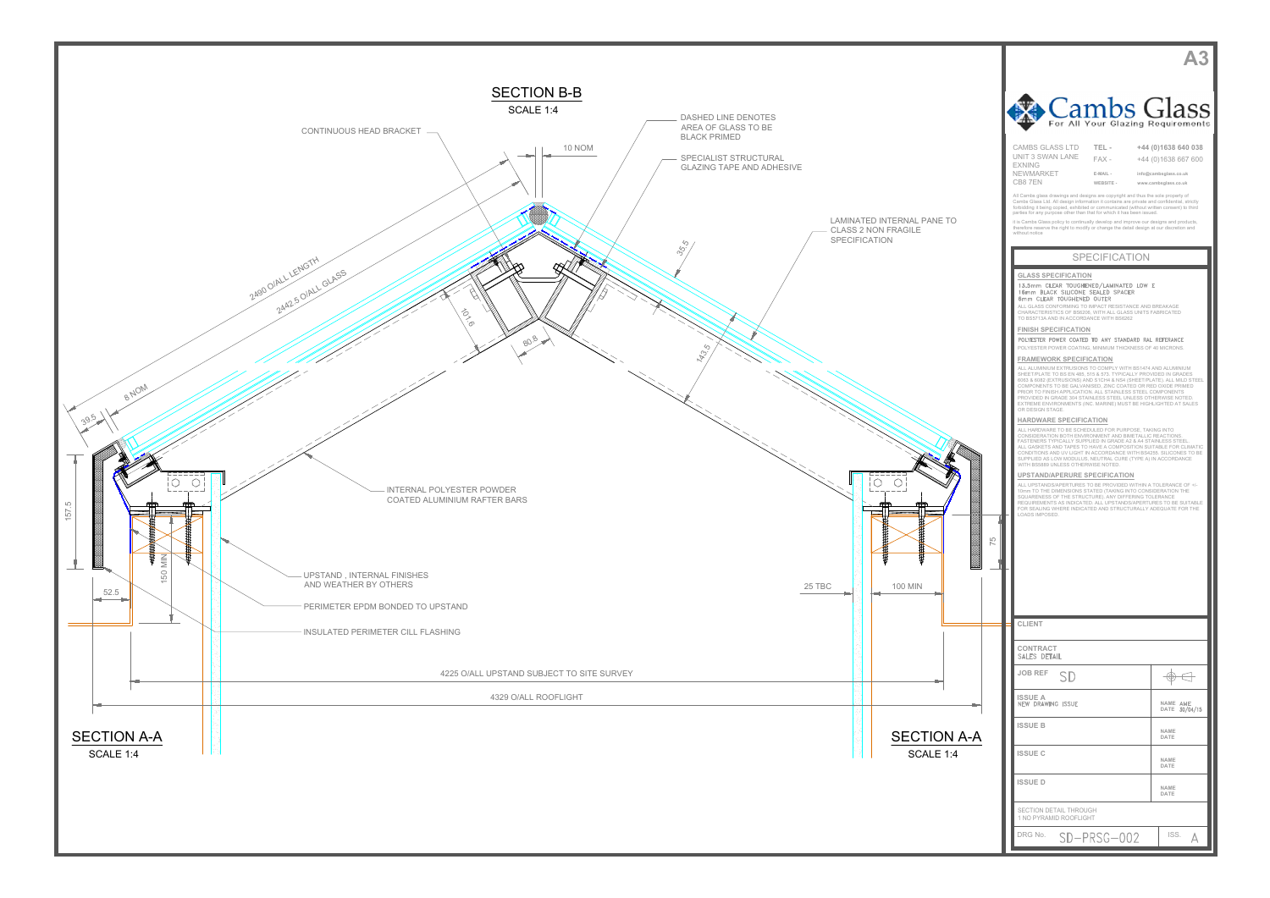|         | Cambs Glass<br>For All Your Glazing Requirements                                                                                                                                                                                                                                                                                                                                                                                                                                                                                                                                                                                                                                                                                                                                                                                                                                                                                                                                                                                                                                                                                                                                                                                                                                                                                                                                                                                                                                                                                                                                                                                                                                                                                                                                                                                                                                                               |                                                                                             |  |
|---------|----------------------------------------------------------------------------------------------------------------------------------------------------------------------------------------------------------------------------------------------------------------------------------------------------------------------------------------------------------------------------------------------------------------------------------------------------------------------------------------------------------------------------------------------------------------------------------------------------------------------------------------------------------------------------------------------------------------------------------------------------------------------------------------------------------------------------------------------------------------------------------------------------------------------------------------------------------------------------------------------------------------------------------------------------------------------------------------------------------------------------------------------------------------------------------------------------------------------------------------------------------------------------------------------------------------------------------------------------------------------------------------------------------------------------------------------------------------------------------------------------------------------------------------------------------------------------------------------------------------------------------------------------------------------------------------------------------------------------------------------------------------------------------------------------------------------------------------------------------------------------------------------------------------|---------------------------------------------------------------------------------------------|--|
|         | <b>CAMBS GLASS LTD</b><br>TEL-<br>UNIT 3 SWAN LANE<br>$FAX -$<br><b>EXNING</b><br><b>NEWMARKET</b><br>E-MAIL -<br>CB87EN<br>WEBSITE -<br>All Cambs glass drawings and designs are copyright and thus the sole property of<br>Cambs Glass Ltd. All design information it contains are private and confidential, strictly<br>forbidding it being copied, exhibited or communicated (without written consent) to third<br>parties for any purpose other than that for which it has been issued.<br>it is Cambs Glass policy to continually develop and improve our designs and products,<br>therefore reserve the right to modify or change the detail design at our discretion and                                                                                                                                                                                                                                                                                                                                                                                                                                                                                                                                                                                                                                                                                                                                                                                                                                                                                                                                                                                                                                                                                                                                                                                                                               | +44 (0)1638 640 038<br>+44 (0)1638 667 600<br>info@cambsglass.co.uk<br>www.cambsglass.co.uk |  |
| Δ<br>75 | without notice<br><b>SPECIFICATION</b><br><b>GLASS SPECIFICATION</b><br>13.5mm CLEAR TOUGHENED/LAMINATED LOW E<br>16mm BLACK SILICONE SEALED SPACER<br>6mm CLEAR TOUGHENED OUTER<br>ALL GLASS CONFORMING TO IMPACT RESISTANCE AND BREAKAGE<br>CHARACTERISTICS OF BS6206, WITH ALL GLASS UNITS FABRICATED<br>TO BS5713A AND IN ACCORDANCE WITH BS6262<br><b>FINISH SPECIFICATION</b><br>POLYESTER POWER COATED TO ANY STANDARD RAL REFERANCE<br>POLYESTER POWER COATING, MINIMUM THICKNESS OF 40 MICRONS.<br><b>FRAMEWORK SPECIFICATION</b><br>ALL ALUMINIUM EXTRUSIONS TO COMPLY WITH BS1474 AND ALUMINIUM<br>SHEET/PLATE TO BS EN 485, 515 & 573. TYPICALLY PROVIDED IN GRADES<br>6063 & 6082 (EXTRUSIONS) AND S1CH4 & NS4 (SHEET/PLATE). ALL MILD STEEL<br>COMPONENTS TO BE GALVANISED, ZINC COATED OR RED OXIDE PRIMED<br>PRIOR TO FINISH APPLICATION. ALL STAINLESS STEEL COMPONENTS<br>PROVIDED IN GRADE 304 STAINLESS STEEL UNLESS OTHERWISE NOTED.<br>EXTREME ENVIRONMENTS (INC. MARINE) MUST BE HIGHLIGHTED AT SALES<br>OR DESIGN STAGE.<br><b>HARDWARE SPECIFICATION</b><br>ALL HARDWARE TO BE SCHEDULED FOR PURPOSE, TAKING INTO<br>CONSIDERATION BOTH ENVIRONMENT AND BIMETALLIC REACTIONS.<br>FASTENERS TYPICALLY SUPPLIED IN GRADE A2 & A4 STAINLESS STEEL.<br>ALL GASKETS AND TAPES TO HAVE A COMPOSITION SUITABLE FOR CLIMATIC<br>CONDITIONS AND UV LIGHT IN ACCORDANCE WITH BS4255, SILICONES TO BE<br>SUPPLIED AS LOW MODULUS, NEUTRAL CURE (TYPE A) IN ACCORDANCE<br>WITH BS5889 UNLESS OTHERWISE NOTED.<br>UPSTAND/APERURE SPECIFICATION<br>ALL UPSTANDS/APERTURES TO BE PROVIDED WITHIN A TOLERANCE OF +/-<br>10mm TO THE DIMENSIONS STATED (TAKING INTO CONSIDERATION THE<br>SQUARENESS OF THE STRUCTURE). ANY DIFFERING TOLERANCE<br>REQUIREMENTS AS INDICATED. ALL UPSTANDS/APERTURES TO BE SUITABLE<br>FOR SEALING WHERE INDICATED AND STRUCTURALLY ADEQUATE FOR THE<br>LOADS IMPOSED. |                                                                                             |  |
|         | <b>CLIENT</b>                                                                                                                                                                                                                                                                                                                                                                                                                                                                                                                                                                                                                                                                                                                                                                                                                                                                                                                                                                                                                                                                                                                                                                                                                                                                                                                                                                                                                                                                                                                                                                                                                                                                                                                                                                                                                                                                                                  |                                                                                             |  |
|         | CONTRACT<br>SALES DETAIL                                                                                                                                                                                                                                                                                                                                                                                                                                                                                                                                                                                                                                                                                                                                                                                                                                                                                                                                                                                                                                                                                                                                                                                                                                                                                                                                                                                                                                                                                                                                                                                                                                                                                                                                                                                                                                                                                       |                                                                                             |  |
|         | <b>JOB REF</b><br>SD<br>ISSUE A                                                                                                                                                                                                                                                                                                                                                                                                                                                                                                                                                                                                                                                                                                                                                                                                                                                                                                                                                                                                                                                                                                                                                                                                                                                                                                                                                                                                                                                                                                                                                                                                                                                                                                                                                                                                                                                                                | ⊕                                                                                           |  |
|         | <b>NEW DRAWING ISSUE</b><br><b>ISSUE B</b>                                                                                                                                                                                                                                                                                                                                                                                                                                                                                                                                                                                                                                                                                                                                                                                                                                                                                                                                                                                                                                                                                                                                                                                                                                                                                                                                                                                                                                                                                                                                                                                                                                                                                                                                                                                                                                                                     | NAME AME<br>DATE 30/04/15                                                                   |  |
|         | <b>ISSUE C</b>                                                                                                                                                                                                                                                                                                                                                                                                                                                                                                                                                                                                                                                                                                                                                                                                                                                                                                                                                                                                                                                                                                                                                                                                                                                                                                                                                                                                                                                                                                                                                                                                                                                                                                                                                                                                                                                                                                 | <b>NAME</b><br>DATE                                                                         |  |
|         | <b>ISSUE D</b>                                                                                                                                                                                                                                                                                                                                                                                                                                                                                                                                                                                                                                                                                                                                                                                                                                                                                                                                                                                                                                                                                                                                                                                                                                                                                                                                                                                                                                                                                                                                                                                                                                                                                                                                                                                                                                                                                                 | NAME<br>DATE                                                                                |  |
|         | SECTION DETAIL THROUGH                                                                                                                                                                                                                                                                                                                                                                                                                                                                                                                                                                                                                                                                                                                                                                                                                                                                                                                                                                                                                                                                                                                                                                                                                                                                                                                                                                                                                                                                                                                                                                                                                                                                                                                                                                                                                                                                                         | NAME<br>DATE                                                                                |  |
|         | 1 NO PYRAMID ROOFLIGHT<br>DRG No.<br>SD-PRSG-002                                                                                                                                                                                                                                                                                                                                                                                                                                                                                                                                                                                                                                                                                                                                                                                                                                                                                                                                                                                                                                                                                                                                                                                                                                                                                                                                                                                                                                                                                                                                                                                                                                                                                                                                                                                                                                                               | ISS.<br>А                                                                                   |  |